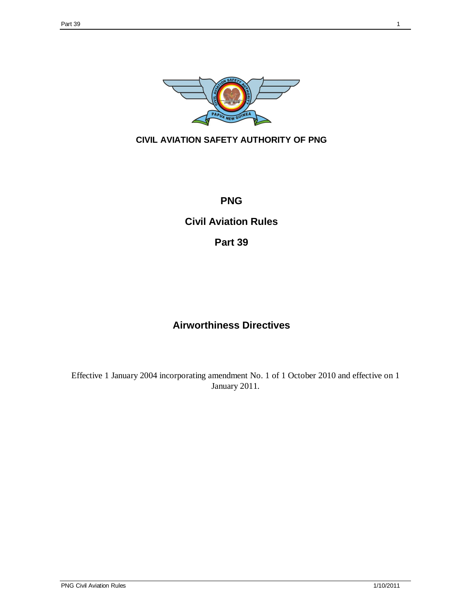

## **CIVIL AVIATION SAFETY AUTHORITY OF PNG**

## **PNG**

**Civil Aviation Rules**

**Part 39**

## **Airworthiness Directives**

Effective 1 January 2004 incorporating amendment No. 1 of 1 October 2010 and effective on 1 January 2011.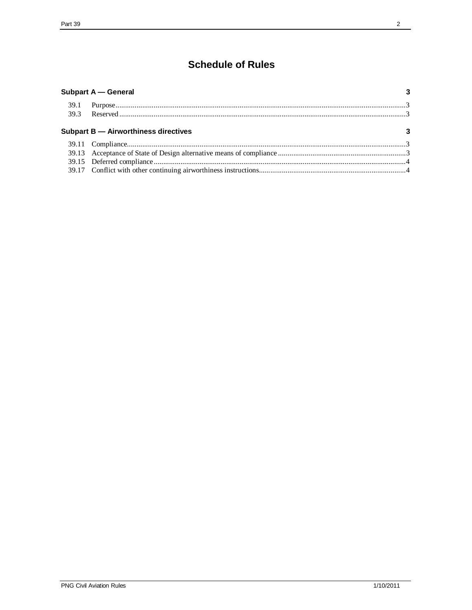# **Schedule of Rules**

| 3 |
|---|
|   |
|   |
|   |
|   |
|   |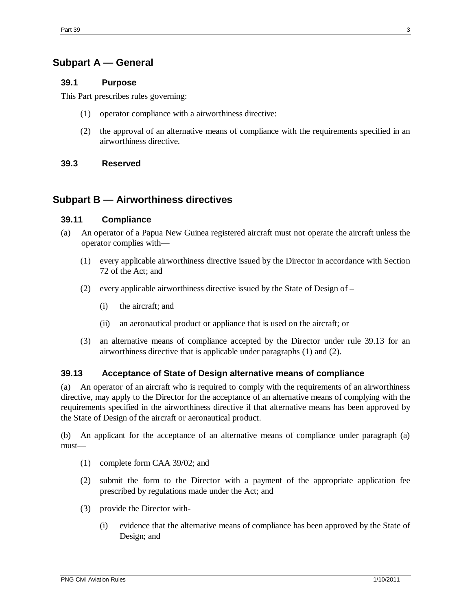## **Subpart A — General**

#### **39.1 Purpose**

This Part prescribes rules governing:

- (1) operator compliance with a airworthiness directive:
- (2) the approval of an alternative means of compliance with the requirements specified in an airworthiness directive.

#### **39.3 Reserved**

### **Subpart B — Airworthiness directives**

#### **39.11 Compliance**

- (a) An operator of a Papua New Guinea registered aircraft must not operate the aircraft unless the operator complies with—
	- (1) every applicable airworthiness directive issued by the Director in accordance with Section 72 of the Act; and
	- (2) every applicable airworthiness directive issued by the State of Design of
		- (i) the aircraft; and
		- (ii) an aeronautical product or appliance that is used on the aircraft; or
	- (3) an alternative means of compliance accepted by the Director under rule 39.13 for an airworthiness directive that is applicable under paragraphs (1) and (2).

### **39.13 Acceptance of State of Design alternative means of compliance**

(a) An operator of an aircraft who is required to comply with the requirements of an airworthiness directive, may apply to the Director for the acceptance of an alternative means of complying with the requirements specified in the airworthiness directive if that alternative means has been approved by the State of Design of the aircraft or aeronautical product.

(b) An applicant for the acceptance of an alternative means of compliance under paragraph (a) must—

- (1) complete form CAA 39/02; and
- (2) submit the form to the Director with a payment of the appropriate application fee prescribed by regulations made under the Act; and
- (3) provide the Director with-
	- (i) evidence that the alternative means of compliance has been approved by the State of Design; and